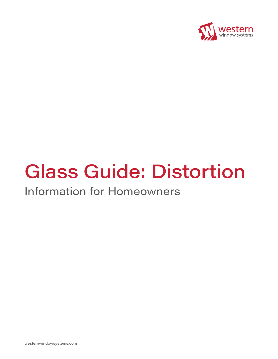

# Glass Guide: Distortion

## Information for Homeowners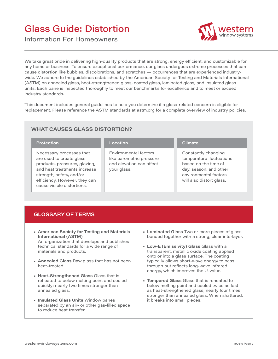## Glass Guide: Distortion



Information For Homeowners

We take great pride in delivering high-quality products that are strong, energy efficient, and customizable for any home or business. To ensure exceptional performance, our glass undergoes extreme processes that can cause distortion like bubbles, discolorations, and scratches — occurrences that are experienced industrywide. We adhere to the guidelines established by the American Society for Testing and Materials International (ASTM) on annealed glass, heat-strengthened glass, coated glass, laminated glass, and insulated glass units. Each pane is inspected thoroughly to meet our benchmarks for excellence and to meet or exceed industry standards.

This document includes general guidelines to help you determine if a glass-related concern is eligible for replacement. Please reference the ASTM standards at astm.org for a complete overview of industry policies.

#### **WHAT CAUSES GLASS DISTORTION?**

| <b>Protection</b>                                                                                                                                                                                                | Location                                                                                     | <b>Climate</b>                                                                                                                                         |
|------------------------------------------------------------------------------------------------------------------------------------------------------------------------------------------------------------------|----------------------------------------------------------------------------------------------|--------------------------------------------------------------------------------------------------------------------------------------------------------|
| Necessary processes that<br>are used to create glass<br>products, pressures, glazing,<br>and heat treatments increase<br>strength, safety, and/or<br>efficiency. However, they can<br>cause visible distortions. | Environmental factors<br>like barometric pressure<br>and elevation can affect<br>your glass. | Constantly changing<br>temperature fluctuations<br>based on the time of<br>day, season, and other<br>environmental factors<br>will also distort glass. |

#### **GLOSSARY OF TERMS**

- **• American Society for Testing and Materials International (ASTM)** An organization that develops and publishes technical standards for a wide range of materials and products.
- **• Annealed Glass** Raw glass that has not been heat-treated.
- **• Heat-Strengthened Glass** Glass that is reheated to below melting point and cooled quickly; nearly two times stronger than annealed glass.
- **• Insulated Glass Units** Window panes separated by an air- or other gas-filled space to reduce heat transfer.
- **• Laminated Glass** Two or more pieces of glass bonded together with a strong, clear interlayer.
- **• Low-E (Emissivity) Glass** Glass with a transparent, metallic oxide coating applied onto or into a glass surface. The coating typically allows short-wave energy to pass through but reflects long-wave infrared energy, which improves the U-value.
- **• Tempered Glass** Glass that is reheated to below melting point and cooled twice as fast as heat-strengthened glass; nearly four times stronger than annealed glass. When shattered, it breaks into small pieces.